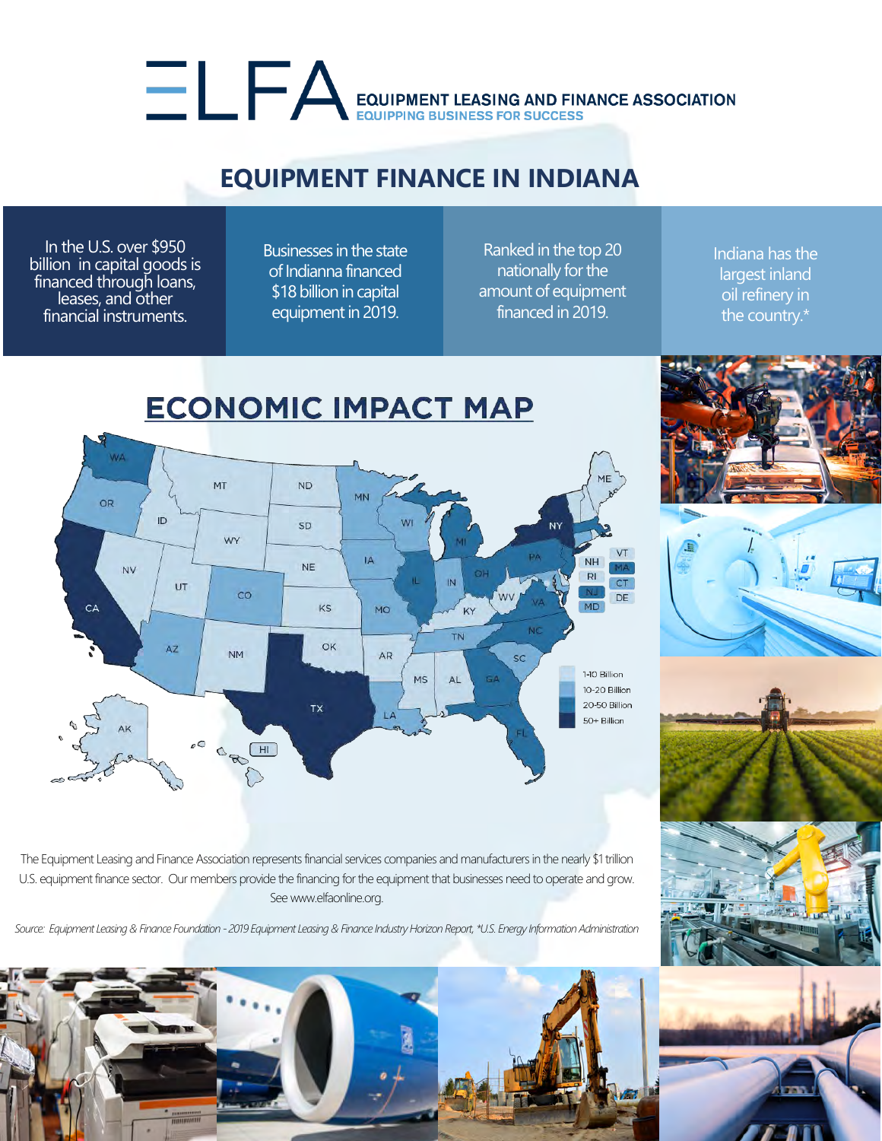## EQUIPMENT LEASING AND FINANCE ASSOCIATION

## **EQUIPMENT FINANCE IN INDIANA**

In the U.S. over \$950 billion in capital goods is financed through loans, leases, and other financial instruments.

Businesses in the state of Indianna financed \$18 billion in capital equipment in 2019.

Ranked in the top 20 nationally for the amount of equipment financed in 2019.

Indiana has the largest inland oil refinery in the country.\*



The Equipment Leasing and Finance Association represents financial services companies and manufacturers in the nearly \$1 trillion U.S. equipment finance sector. Our members provide the financing for the equipment that businesses need to operate and grow. See www.elfaonline.org.

*Source: Equipment Leasing & Finance Foundation - 2019 Equipment Leasing & Finance Industry Horizon Report, \*U.S. Energy Information Administration*